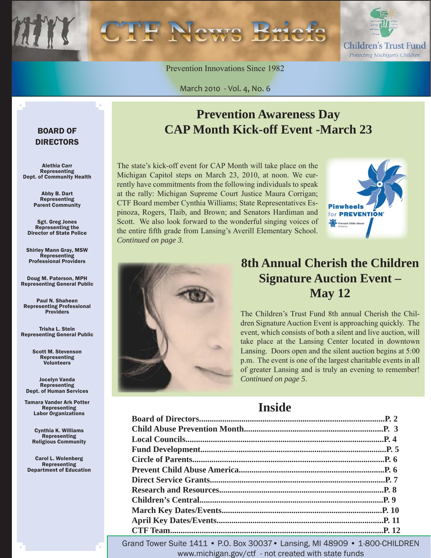

Prevention Innovations Since 1982

March 2010 - Vol. 4, No. 6

#### BOARD OF DIRECTORS

Alethia Carr Representing Dept. of Community Health

> Abby B. Dart Representing Parent Community

Sgt. Greg Jones Representing the Director of State Police

Shirley Mann Gray, MSW **Representing** Professional Providers

Doug M. Paterson, MPH Representing General Public

Paul N. Shaheen Representing Professional Providers

Trisha L. Stein Representing General Public

> Scott M. Stevenson Representing **Volunteers**

Jocelyn Vanda Representing Dept. of Human Services

Tamara Vander Ark Potter Representing Labor Organizations

> Cynthia K. Williams Representing Religious Community

Carol L. Wolenberg Representing Department of Education

### **Prevention Awareness Day CAP Month Kick-off Event -March 23**

The state's kick-off event for CAP Month will take place on the Michigan Capitol steps on March 23, 2010, at noon. We currently have commitments from the following individuals to speak at the rally: Michigan Supreme Court Justice Maura Corrigan; CTF Board member Cynthia Williams; State Representatives Espinoza, Rogers, Tlaib, and Brown; and Senators Hardiman and Scott. We also look forward to the wonderful singing voices of the entire fifth grade from Lansing's Averill Elementary School. *Continued on page 3*.





### **8th Annual Cherish the Children Signature Auction Event – May 12**

The Children's Trust Fund 8th annual Cherish the Children Signature Auction Event is approaching quickly. The event, which consists of both a silent and live auction, will take place at the Lansing Center located in downtown Lansing. Doors open and the silent auction begins at 5:00 p.m. The event is one of the largest charitable events in all of greater Lansing and is truly an evening to remember! *Continued on page 5*.

### **Inside**

Grand Tower Suite 1411 • P.O. Box 30037• Lansing, MI 48909 • 1-800-CHILDREN www.michigan.gov/ctf - not created with state funds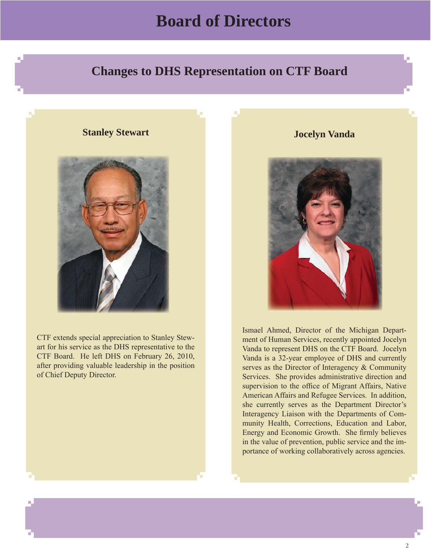### **Board of Directors**

### <span id="page-1-0"></span> **Changes to DHS Representation on CTF Board**

#### **Stanley Stewart**



CTF extends special appreciation to Stanley Stewart for his service as the DHS representative to the CTF Board. He left DHS on February 26, 2010, after providing valuable leadership in the position of Chief Deputy Director.

**Jocelyn Vanda** 



Ismael Ahmed, Director of the Michigan Department of Human Services, recently appointed Jocelyn Vanda to represent DHS on the CTF Board. Jocelyn Vanda is a 32-year employee of DHS and currently serves as the Director of Interagency & Community Services. She provides administrative direction and supervision to the office of Migrant Affairs, Native American Affairs and Refugee Services. In addition, she currently serves as the Department Director's Interagency Liaison with the Departments of Community Health, Corrections, Education and Labor, Energy and Economic Growth. She firmly believes in the value of prevention, public service and the importance of working collaboratively across agencies.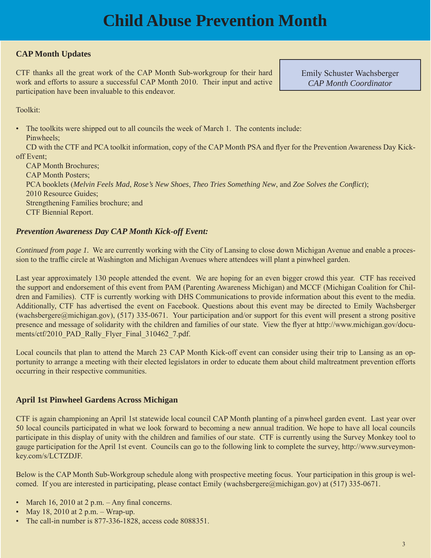## **Child Abuse Prevention Month**

#### <span id="page-2-0"></span>**CAP Month Updates**

CTF thanks all the great work of the CAP Month Sub-workgroup for their hard work and efforts to assure a successful CAP Month 2010. Their input and active participation have been invaluable to this endeavor.

Emily Schuster Wachsberger *CAP Month Coordinator*

Toolkit:

• The toolkits were shipped out to all councils the week of March 1. The contents include:

Pinwheels:

CD with the CTF and PCA toolkit information, copy of the CAP Month PSA and flyer for the Prevention Awareness Day Kickoff Event;

 CAP Month Brochures; CAP Month Posters; PCA booklets (*Melvin Feels Mad*, *Rose's New Shoes*, *Theo Tries Something New*, and *Zoe Solves the Confl ict*); 2010 Resource Guides; Strengthening Families brochure; and CTF Biennial Report.

#### *Prevention Awareness Day CAP Month Kick-off Event:*

*Continued from page 1.* We are currently working with the City of Lansing to close down Michigan Avenue and enable a procession to the traffic circle at Washington and Michigan Avenues where attendees will plant a pinwheel garden.

Last year approximately 130 people attended the event. We are hoping for an even bigger crowd this year. CTF has received the support and endorsement of this event from PAM (Parenting Awareness Michigan) and MCCF (Michigan Coalition for Children and Families). CTF is currently working with DHS Communications to provide information about this event to the media. Additionally, CTF has advertised the event on Facebook. Questions about this event may be directed to Emily Wachsberger (wachsbergere@michigan.gov), (517) 335-0671. Your participation and/or support for this event will present a strong positive presence and message of solidarity with the children and families of our state. View the flyer at http://www.michigan.gov/documents/ctf/2010\_PAD\_Rally\_Flyer\_Final\_310462\_7.pdf.

Local councils that plan to attend the March 23 CAP Month Kick-off event can consider using their trip to Lansing as an opportunity to arrange a meeting with their elected legislators in order to educate them about child maltreatment prevention efforts occurring in their respective communities.

#### **April 1st Pinwheel Gardens Across Michigan**

CTF is again championing an April 1st statewide local council CAP Month planting of a pinwheel garden event. Last year over 50 local councils participated in what we look forward to becoming a new annual tradition. We hope to have all local councils participate in this display of unity with the children and families of our state. CTF is currently using the Survey Monkey tool to [gauge participation for the April 1st event. Councils can go to the following link to complete the survey, http://www.surveymon](http://www.surveymonkey.com/s/LCTZDJF)key.com/s/LCTZDJF.

Below is the CAP Month Sub-Workgroup schedule along with prospective meeting focus. Your participation in this group is welcomed. If you are interested in participating, please contact Emily (wachsbergere@michigan.gov) at (517) 335-0671.

- March 16, 2010 at 2 p.m.  $-$  Any final concerns.
- May 18, 2010 at  $2 p.m. Wrap-up.$
- The call-in number is 877-336-1828, access code 8088351.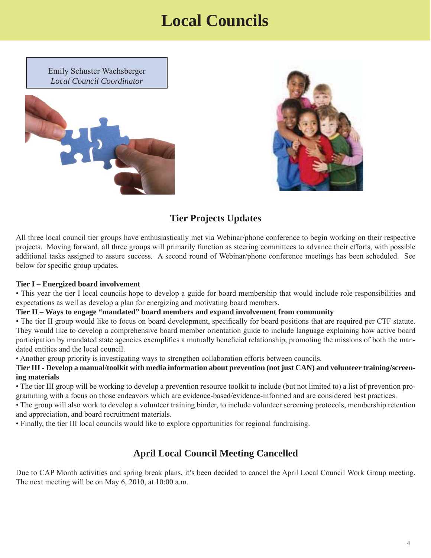### **Local Councils**

<span id="page-3-0"></span>Emily Schuster Wachsberger *Local Council Coordinator*





#### **Tier Projects Updates**

All three local council tier groups have enthusiastically met via Webinar/phone conference to begin working on their respective projects. Moving forward, all three groups will primarily function as steering committees to advance their efforts, with possible additional tasks assigned to assure success. A second round of Webinar/phone conference meetings has been scheduled. See below for specific group updates.

#### **Tier I – Energized board involvement**

• This year the tier I local councils hope to develop a guide for board membership that would include role responsibilities and expectations as well as develop a plan for energizing and motivating board members.

#### **Tier II – Ways to engage "mandated" board members and expand involvement from community**

• The tier II group would like to focus on board development, specifically for board positions that are required per CTF statute. They would like to develop a comprehensive board member orientation guide to include language explaining how active board participation by mandated state agencies exemplifies a mutually beneficial relationship, promoting the missions of both the mandated entities and the local council.

• Another group priority is investigating ways to strengthen collaboration efforts between councils.

**Tier III - Develop a manual/toolkit with media information about prevention (not just CAN) and volunteer training/screening materials**

• The tier III group will be working to develop a prevention resource toolkit to include (but not limited to) a list of prevention programming with a focus on those endeavors which are evidence-based/evidence-informed and are considered best practices.

• The group will also work to develop a volunteer training binder, to include volunteer screening protocols, membership retention and appreciation, and board recruitment materials.

• Finally, the tier III local councils would like to explore opportunities for regional fundraising.

#### **April Local Council Meeting Cancelled**

Due to CAP Month activities and spring break plans, it's been decided to cancel the April Local Council Work Group meeting. The next meeting will be on May 6, 2010, at 10:00 a.m.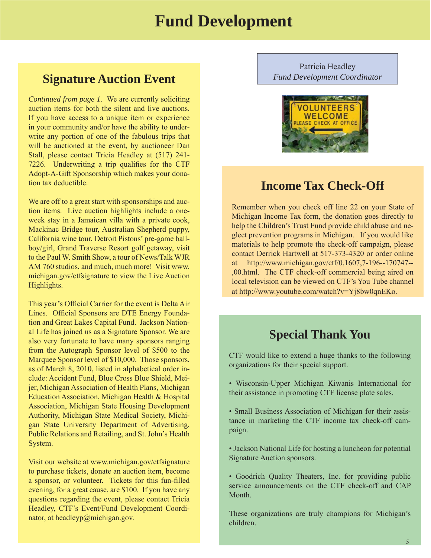### **Fund Development**

#### <span id="page-4-0"></span>**Signature Auction Event**

*Continued from page 1.* We are currently soliciting auction items for both the silent and live auctions. If you have access to a unique item or experience in your community and/or have the ability to underwrite any portion of one of the fabulous trips that will be auctioned at the event, by auctioneer Dan Stall, please contact Tricia Headley at (517) 241- 7226. Underwriting a trip qualifies for the CTF Adopt-A-Gift Sponsorship which makes your donation tax deductible.

We are off to a great start with sponsorships and auction items. Live auction highlights include a oneweek stay in a Jamaican villa with a private cook, Mackinac Bridge tour, Australian Shepherd puppy, California wine tour, Detroit Pistons' pre-game ballboy/girl, Grand Traverse Resort golf getaway, visit to the Paul W. Smith Show, a tour of News/Talk WJR AM 760 studios, and much, much more! Visit www. michigan.gov/ctfsignature to view the Live Auction Highlights.

This year's Official Carrier for the event is Delta Air Lines. Official Sponsors are DTE Energy Foundation and Great Lakes Capital Fund. Jackson National Life has joined us as a Signature Sponsor. We are also very fortunate to have many sponsors ranging from the Autograph Sponsor level of \$500 to the Marquee Sponsor level of \$10,000. Those sponsors, as of March 8, 2010, listed in alphabetical order include: Accident Fund, Blue Cross Blue Shield, Meijer, Michigan Association of Health Plans, Michigan Education Association, Michigan Health & Hospital Association, Michigan State Housing Development Authority, Michigan State Medical Society, Michigan State University Department of Advertising, Public Relations and Retailing, and St. John's Health System.

Visit our website at www.michigan.gov/ctfsignature to purchase tickets, donate an auction item, become a sponsor, or volunteer. Tickets for this fun-filled evening, for a great cause, are \$100. If you have any questions regarding the event, please contact Tricia Headley, CTF's Event/Fund Development Coordinator, at headleyp@michigan.gov.

Patricia Headley *Fund Development Coordinator*



### **Income Tax Check-Off**

Remember when you check off line 22 on your State of Michigan Income Tax form, the donation goes directly to help the Children's Trust Fund provide child abuse and neglect prevention programs in Michigan. If you would like materials to help promote the check-off campaign, please contact Derrick Hartwell at 517-373-4320 or order online at http://www.michigan.gov/ctf/0,1607,7-196--170747-- ,00.html. The CTF check-off commercial being aired on local television can be viewed on CTF's You Tube channel at http://www.youtube.com/watch?v=Yj8bw0qnEKo.

### **Special Thank You**

CTF would like to extend a huge thanks to the following organizations for their special support.

- Wisconsin-Upper Michigan Kiwanis International for their assistance in promoting CTF license plate sales.
- Small Business Association of Michigan for their assistance in marketing the CTF income tax check-off campaign.
- Jackson National Life for hosting a luncheon for potential Signature Auction sponsors.
- Goodrich Quality Theaters, Inc. for providing public service announcements on the CTF check-off and CAP Month.

These organizations are truly champions for Michigan's children.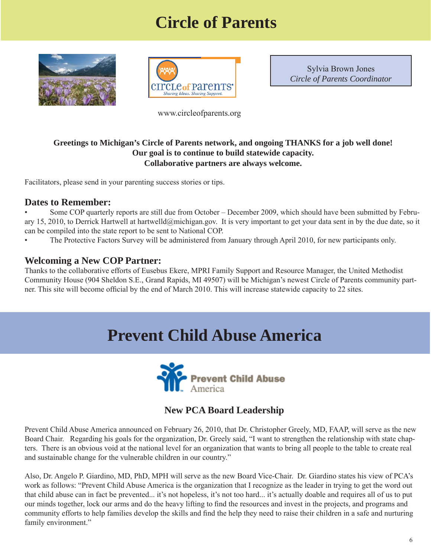# **Circle of Parents**

<span id="page-5-0"></span>



Sylvia Brown Jones *Circle of Parents Coordinator*

www.circleofparents.org

#### **Greetings to Michigan's Circle of Parents network, and ongoing THANKS for a job well done! Our goal is to continue to build statewide capacity. Collaborative partners are always welcome.**

Facilitators, please send in your parenting success stories or tips.

#### **Dates to Remember:**

• Some COP quarterly reports are still due from October – December 2009, which should have been submitted by February 15, 2010, to Derrick Hartwell at hartwelld@michigan.gov. It is very important to get your data sent in by the due date, so it can be compiled into the state report to be sent to National COP.

The Protective Factors Survey will be administered from January through April 2010, for new participants only.

#### **Welcoming a New COP Partner:**

Thanks to the collaborative efforts of Eusebus Ekere, MPRI Family Support and Resource Manager, the United Methodist Community House (904 Sheldon S.E., Grand Rapids, MI 49507) will be Michigan's newest Circle of Parents community partner. This site will become official by the end of March 2010. This will increase statewide capacity to 22 sites.

### **Prevent Child Abuse America**



#### **New PCA Board Leadership**

Prevent Child Abuse America announced on February 26, 2010, that Dr. Christopher Greely, MD, FAAP, will serve as the new Board Chair. Regarding his goals for the organization, Dr. Greely said, "I want to strengthen the relationship with state chapters. There is an obvious void at the national level for an organization that wants to bring all people to the table to create real and sustainable change for the vulnerable children in our country."

Also, Dr. Angelo P. Giardino, MD, PhD, MPH will serve as the new Board Vice-Chair. Dr. Giardino states his view of PCA's work as follows: "Prevent Child Abuse America is the organization that I recognize as the leader in trying to get the word out that child abuse can in fact be prevented... it's not hopeless, it's not too hard... it's actually doable and requires all of us to put our minds together, lock our arms and do the heavy lifting to find the resources and invest in the projects, and programs and community efforts to help families develop the skills and find the help they need to raise their children in a safe and nurturing family environment."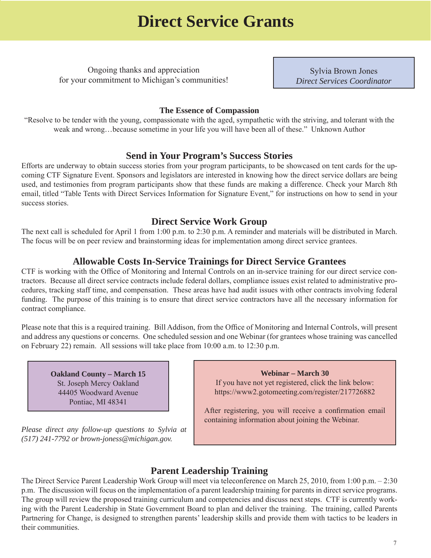### **Direct Service Grants**

<span id="page-6-0"></span>Ongoing thanks and appreciation for your commitment to Michigan's communities!

Sylvia Brown Jones *Direct Services Coordinator*

#### **The Essence of Compassion**

"Resolve to be tender with the young, compassionate with the aged, sympathetic with the striving, and tolerant with the weak and wrong…because sometime in your life you will have been all of these." Unknown Author

#### **Send in Your Program's Success Stories**

Efforts are underway to obtain success stories from your program participants, to be showcased on tent cards for the upcoming CTF Signature Event. Sponsors and legislators are interested in knowing how the direct service dollars are being used, and testimonies from program participants show that these funds are making a difference. Check your March 8th email, titled "Table Tents with Direct Services Information for Signature Event," for instructions on how to send in your success stories.

#### **Direct Service Work Group**

The next call is scheduled for April 1 from 1:00 p.m. to 2:30 p.m. A reminder and materials will be distributed in March. The focus will be on peer review and brainstorming ideas for implementation among direct service grantees.

#### **Allowable Costs In-Service Trainings for Direct Service Grantees**

CTF is working with the Office of Monitoring and Internal Controls on an in-service training for our direct service contractors. Because all direct service contracts include federal dollars, compliance issues exist related to administrative procedures, tracking staff time, and compensation. These areas have had audit issues with other contracts involving federal funding. The purpose of this training is to ensure that direct service contractors have all the necessary information for contract compliance.

Please note that this is a required training. Bill Addison, from the Office of Monitoring and Internal Controls, will present and address any questions or concerns. One scheduled session and one Webinar (for grantees whose training was cancelled on February 22) remain. All sessions will take place from 10:00 a.m. to 12:30 p.m.

**Oakland County – March 15**  St. Joseph Mercy Oakland 44405 Woodward Avenue Pontiac, MI 48341

*Please direct any follow-up questions to Sylvia at (517) 241-7792 or brown-joness@michigan.gov.* 

**Webinar – March 30** If you have not yet registered, click the link below: https://www2.gotomeeting.com/register/217726882

After registering, you will receive a confirmation email containing information about joining the Webinar.

#### **Parent Leadership Training**

The Direct Service Parent Leadership Work Group will meet via teleconference on March 25, 2010, from 1:00 p.m. – 2:30 p.m. The discussion will focus on the implementation of a parent leadership training for parents in direct service programs. The group will review the proposed training curriculum and competencies and discuss next steps. CTF is currently working with the Parent Leadership in State Government Board to plan and deliver the training. The training, called Parents Partnering for Change, is designed to strengthen parents' leadership skills and provide them with tactics to be leaders in their communities.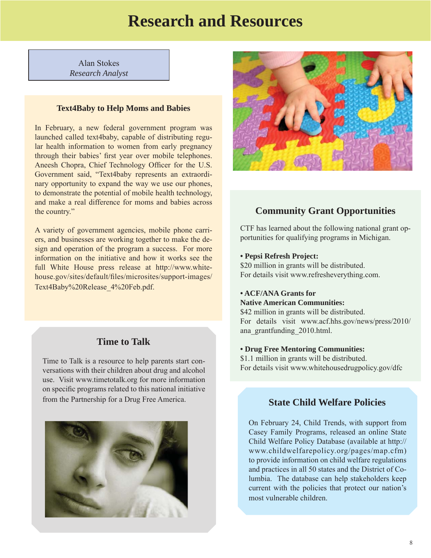### **Research and Resources**

<span id="page-7-0"></span>Alan Stokes *Research Analyst*

#### **Text4Baby to Help Moms and Babies**

In February, a new federal government program was launched called text4baby, capable of distributing regular health information to women from early pregnancy through their babies' first year over mobile telephones. Aneesh Chopra, Chief Technology Officer for the U.S. Government said, "Text4baby represents an extraordinary opportunity to expand the way we use our phones, to demonstrate the potential of mobile health technology, and make a real difference for moms and babies across the country."

A variety of government agencies, mobile phone carriers, and businesses are working together to make the design and operation of the program a success. For more information on the initiative and how it works see the [full White House press release at http://www.white](http://www.whitehouse.gov/sites/default/files/microsites/support-images/Text4Baby%20Release_4%20Feb.pdf)house.gov/sites/default/files/microsites/support-images/ Text4Baby%20Release\_4%20Feb.pdf.

#### **Time to Talk**

Time to Talk is a resource to help parents start conversations with their children about drug and alcohol use. Visit www.timetotalk.org for more information on specific programs related to this national initiative from the Partnership for a Drug Free America. **State Child Welfare Policies**





#### **Community Grant Opportunities**

CTF has learned about the following national grant opportunities for qualifying programs in Michigan.

#### **• Pepsi Refresh Project:**

\$20 million in grants will be distributed. For details visit www.refresheverything.com.

### **• ACF/ANA Grants for**

**Native American Communities:**

\$42 million in grants will be distributed. [For details visit www.acf.hhs.gov/news/press/2010/](http://www.acf.hhs.gov/news/press/2010/ana_grantfunding_2010.html) ana\_grantfunding\_2010.html.

#### **• Drug Free Mentoring Communities:**

\$1.1 million in grants will be distributed. For details visit www.whitehousedrugpolicy.gov/dfc

On February 24, Child Trends, with support from Casey Family Programs, released an online State Child Welfare Policy Database (available at http:// www.childwelfarepolicy.org/pages/map.cfm) to provide information on child welfare regulations and practices in all 50 states and the District of Columbia. The database can help stakeholders keep current with the policies that protect our nation's most vulnerable children.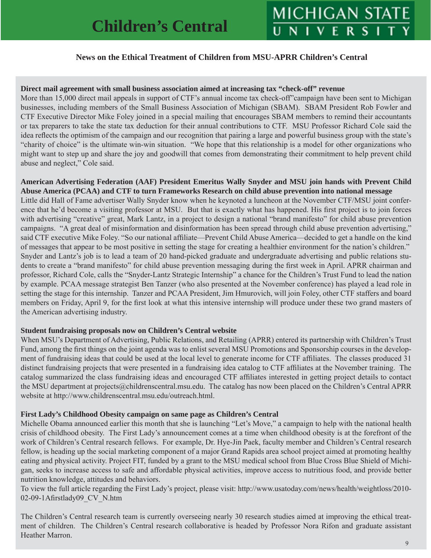#### **News on the Ethical Treatment of Children from MSU-APRR Children's Central**

#### <span id="page-8-0"></span>**Direct mail agreement with small business association aimed at increasing tax "check-off" revenue**

More than 15,000 direct mail appeals in support of CTF's annual income tax check-off"campaign have been sent to Michigan businesses, including members of the Small Business Association of Michigan (SBAM). SBAM President Rob Fowler and CTF Executive Director Mike Foley joined in a special mailing that encourages SBAM members to remind their accountants or tax preparers to take the state tax deduction for their annual contributions to CTF. MSU Professor Richard Cole said the idea reflects the optimism of the campaign and our recognition that pairing a large and powerful business group with the state's "charity of choice" is the ultimate win-win situation. "We hope that this relationship is a model for other organizations who might want to step up and share the joy and goodwill that comes from demonstrating their commitment to help prevent child abuse and neglect," Cole said.

**American Advertising Federation (AAF) President Emeritus Wally Snyder and MSU join hands with Prevent Child Abuse America (PCAA) and CTF to turn Frameworks Research on child abuse prevention into national message**

Little did Hall of Fame advertiser Wally Snyder know when he keynoted a luncheon at the November CTF/MSU joint conference that he'd become a visiting professor at MSU. But that is exactly what has happened. His first project is to join forces with advertising "creative" great, Mark Lantz, in a project to design a national "brand manifesto" for child abuse prevention campaigns. "A great deal of misinformation and disinformation has been spread through child abuse prevention advertising," said CTF executive Mike Foley. "So our national affiliate—Prevent Child Abuse America—decided to get a handle on the kind of messages that appear to be most positive in setting the stage for creating a healthier environment for the nation's children." Snyder and Lantz's job is to lead a team of 20 hand-picked graduate and undergraduate advertising and public relations students to create a "brand manifesto" for child abuse prevention messaging during the first week in April. APRR chairman and professor, Richard Cole, calls the "Snyder-Lantz Strategic Internship" a chance for the Children's Trust Fund to lead the nation by example. PCAA message strategist Ben Tanzer (who also presented at the November conference) has played a lead role in setting the stage for this internship. Tanzer and PCAA President, Jim Hmurovich, will join Foley, other CTF staffers and board members on Friday, April 9, for the first look at what this intensive internship will produce under these two grand masters of the American advertising industry.

#### **Student fundraising proposals now on Children's Central website**

When MSU's Department of Advertising, Public Relations, and Retailing (APRR) entered its partnership with Children's Trust Fund, among the first things on the joint agenda was to enlist several MSU Promotions and Sponsorship courses in the development of fundraising ideas that could be used at the local level to generate income for CTF affiliates. The classes produced 31 distinct fundraising projects that were presented in a fundraising idea catalog to CTF affiliates at the November training. The catalog summarized the class fundraising ideas and encouraged CTF affiliates interested in getting project details to contact the MSU department at projects@childrenscentral.msu.edu. The catalog has now been placed on the Children's Central APRR website at http://www.childrenscentral.msu.edu/outreach.html.

#### **First Lady's Childhood Obesity campaign on same page as Children's Central**

Michelle Obama announced earlier this month that she is launching "Let's Move," a campaign to help with the national health crisis of childhood obesity. The First Lady's announcement comes at a time when childhood obesity is at the forefront of the work of Children's Central research fellows. For example, Dr. Hye-Jin Paek, faculty member and Children's Central research fellow, is heading up the social marketing component of a major Grand Rapids area school project aimed at promoting healthy eating and physical activity. Project FIT, funded by a grant to the MSU medical school from Blue Cross Blue Shield of Michigan, seeks to increase access to safe and affordable physical activities, improve access to nutritious food, and provide better nutrition knowledge, attitudes and behaviors.

[To view the full article regarding the First Lady's project, please visit: http://www.usatoday.com/news/health/weightloss/2010-](http://www.usatoday.com/news/health/weightloss/2010-02-09-1Afirstlady09_CV_N.htm) 02-09-1Afirstlady09 CV N.htm

The Children's Central research team is currently overseeing nearly 30 research studies aimed at improving the ethical treatment of children. The Children's Central research collaborative is headed by Professor Nora Rifon and graduate assistant Heather Marron.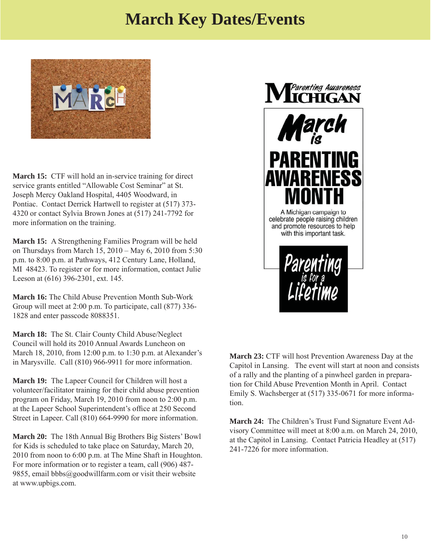### **March Key Dates/Events**

<span id="page-9-0"></span>

**March 15:** CTF will hold an in-service training for direct service grants entitled "Allowable Cost Seminar" at St. Joseph Mercy Oakland Hospital, 4405 Woodward, in Pontiac. Contact Derrick Hartwell to register at (517) 373- 4320 or contact Sylvia Brown Jones at (517) 241-7792 for more information on the training.

**March 15:** A Strengthening Families Program will be held on Thursdays from March 15, 2010 – May 6, 2010 from 5:30 p.m. to 8:00 p.m. at Pathways, 412 Century Lane, Holland, MI 48423. To register or for more information, contact Julie Leeson at (616) 396-2301, ext. 145.

**March 16:** The Child Abuse Prevention Month Sub-Work Group will meet at 2:00 p.m. To participate, call (877) 336- 1828 and enter passcode 8088351.

**March 18:** The St. Clair County Child Abuse/Neglect Council will hold its 2010 Annual Awards Luncheon on March 18, 2010, from 12:00 p.m. to 1:30 p.m. at Alexander's in Marysville. Call (810) 966-9911 for more information.

**March 19:** The Lapeer Council for Children will host a volunteer/facilitator training for their child abuse prevention program on Friday, March 19, 2010 from noon to 2:00 p.m. at the Lapeer School Superintendent's office at 250 Second Street in Lapeer. Call (810) 664-9990 for more information.

**March 20:** The 18th Annual Big Brothers Big Sisters' Bowl for Kids is scheduled to take place on Saturday, March 20, 2010 from noon to 6:00 p.m. at The Mine Shaft in Houghton. For more information or to register a team, call (906) 487- 9855, email bbbs@goodwillfarm.com or visit their website at www.upbigs.com.



**March 23:** CTF will host Prevention Awareness Day at the Capitol in Lansing. The event will start at noon and consists of a rally and the planting of a pinwheel garden in preparation for Child Abuse Prevention Month in April. Contact Emily S. Wachsberger at (517) 335-0671 for more information.

**March 24:** The Children's Trust Fund Signature Event Advisory Committee will meet at 8:00 a.m. on March 24, 2010, at the Capitol in Lansing. Contact Patricia Headley at (517) 241-7226 for more information.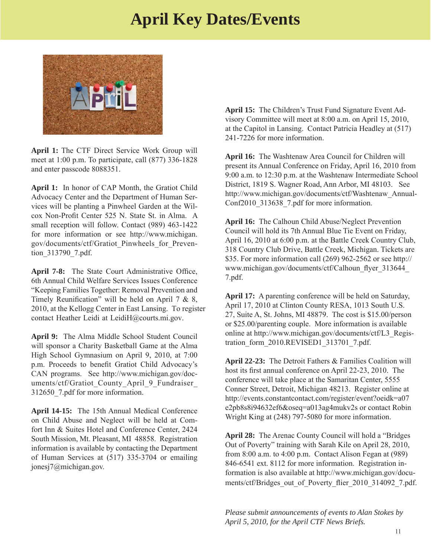### **April Key Dates/Events**

<span id="page-10-0"></span>

**April 1:** The CTF Direct Service Work Group will meet at 1:00 p.m. To participate, call (877) 336-1828 and enter passcode 8088351.

**April 1:** In honor of CAP Month, the Gratiot Child Advocacy Center and the Department of Human Services will be planting a Pinwheel Garden at the Wilcox Non-Profit Center 525 N. State St. in Alma. A small reception will follow. Contact (989) 463-1422 for more information or see http://www.michigan. [gov/documents/ctf/Gratiot\\_Pinwheels\\_for\\_Preven](http://www.michigan.gov/documents/ctf/Gratiot_Pinwheels_for_Prevention_313790_7.pdf)tion\_313790\_7.pdf.

April 7-8: The State Court Administrative Office, 6th Annual Child Welfare Services Issues Conference "Keeping Families Together: Removal Prevention and Timely Reunification" will be held on April 7  $\&$  8, 2010, at the Kellogg Center in East Lansing. To register contact Heather Leidi at LeidiH@courts.mi.gov.

**April 9:** The Alma Middle School Student Council [will sponsor a Charity Basketball Game at the Alma](http://webcast.you-niversity.com/youtools/companies/cwsos/registerFormApril72010.asp?affiliateID-132&programID=666&tzOffset=5&tzOffsetRgn=EST)  High School Gymnasium on April 9, 2010, at 7:00 p.m. Proceeds to benefit Gratiot Child Advocacy's CAN programs. See http://www.michigan.gov/documents/ctf/Gratiot County April 9 Fundraiser 312650\_7.pdf for more information.

**April 14-15:** The 15th Annual Medical Conference on Child Abuse and Neglect will be held at Comfort Inn & Suites Hotel and Conference Center, 2424 South Mission, Mt. Pleasant, MI 48858. Registration information is available by contacting the Department of Human Services at (517) 335-3704 or emailing jonesj7@michigan.gov.

**April 15:** The Children's Trust Fund Signature Event Advisory Committee will meet at 8:00 a.m. on April 15, 2010, at the Capitol in Lansing. Contact Patricia Headley at (517) 241-7226 for more information.

**April 16:** The Washtenaw Area Council for Children will present its Annual Conference on Friday, April 16, 2010 from 9:00 a.m. to 12:30 p.m. at the Washtenaw Intermediate School District, 1819 S. Wagner Road, Ann Arbor, MI 48103. See [http://www.michigan.gov/documents/ctf/Washtenaw\\_Annual-](www.michigan.gov/documents/ctf/Washtenaw_AnnualConf2010_313638_7.pdf)Conf2010\_313638\_7.pdf for more information.

**April 16:** The Calhoun Child Abuse/Neglect Prevention Council will hold its 7th Annual Blue Tie Event on Friday, April 16, 2010 at 6:00 p.m. at the Battle Creek Country Club, 318 Country Club Drive, Battle Creek, Michigan. Tickets are [\\$35. For more information call \(269\) 962-2562 or see http://](http://www.michigan.gov/documents/ctf/Calhoun_flyer_313644_7.pdf) www.michigan.gov/documents/ctf/Calhoun\_flyer\_313644 7.pdf.

**April 17:** A parenting conference will be held on Saturday, April 17, 2010 at Clinton County RESA, 1013 South U.S. 27, Suite A, St. Johns, MI 48879. The cost is \$15.00/person or \$25.00/parenting couple. More information is available [online at http://www.michigan.gov/documents/ctf/L3\\_Regis](http://www.michigan.gov/documents/ctf/L3_Registration_form_2010.REVISED1_313701_7.pdf)tration\_form\_2010.REVISED1\_313701\_7.pdf.

**April 22-23:** The Detroit Fathers & Families Coalition will host its first annual conference on April 22-23, 2010. The conference will take place at the Samaritan Center, 5555 Conner Street, Detroit, Michigan 48213. Register online at http://events.constantcontact.com/register/event?oeidk=a07 [e2pb8s8i94632ef6&oseq=a013ag4mukv2s or contact Robin](http://events.constantcontact.com/register/event?oeidk=a07e2pb8s8i94632ef6&oseq=a013ag4mukv2s) Wright King at (248) 797-5080 for more information.

**April 28:** The Arenac County Council will hold a "Bridges Out of Poverty" training with Sarah Kile on April 28, 2010, from 8:00 a.m. to 4:00 p.m. Contact Alison Fegan at (989) 846-6541 ext. 8112 for more information. Registration in[formation is also available at http://www.michigan.gov/docu](http://www.michigan.gov/documents/ctf/Bridges_out_of_Poverty_flier_2010_314092_7.pdf)ments/ctf/Bridges\_out\_of\_Poverty\_flier\_2010\_314092\_7.pdf.

*Please submit announcements of events to Alan Stokes by April 5, 2010, for the April CTF News Briefs.*